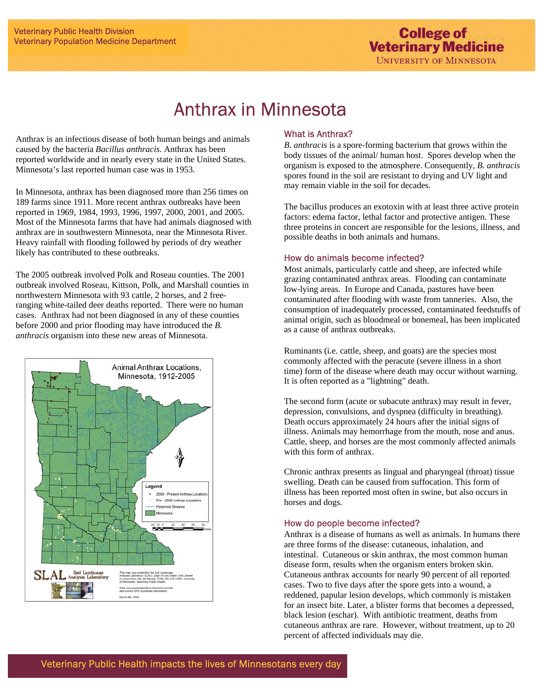# $\overline{a}$ Anthrax in Minnesota

l

Anthrax is an infectious disease of both human beings and animals caused by the bacteria *Bacillus anthracis*. Anthrax has been reported worldwide and in nearly every state in the United States. Minnesota's last reported human case was in 1953.

In Minnesota, anthrax has been diagnosed more than 256 times on 189 farms since 1911. More recent anthrax outbreaks have been reported in 1969, 1984, 1993, 1996, 1997, 2000, 2001, and 2005. Most of the Minnesota farms that have had animals diagnosed with anthrax are in southwestern Minnesota, near the Minnesota River. Heavy rainfall with flooding followed by periods of dry weather likely has contributed to these outbreaks.

The 2005 outbreak involved Polk and Roseau counties. The 2001 outbreak involved Roseau, Kittson, Polk, and Marshall counties in northwestern Minnesota with 93 cattle, 2 horses, and 2 freeranging white-tailed deer deaths reported. There were no human cases. Anthrax had not been diagnosed in any of these counties before 2000 and prior flooding may have introduced the *B. anthracis* organism into these new areas of Minnesota.



ł

# What is Anthrax?

*B. anthracis* is a spore-forming bacterium that grows within the body tissues of the animal/ human host. Spores develop when the organism is exposed to the atmosphere. Consequently, *B. anthracis* spores found in the soil are resistant to drying and UV light and may remain viable in the soil for decades.

The bacillus produces an exotoxin with at least three active protein factors: edema factor, lethal factor and protective antigen. These three proteins in concert are responsible for the lesions, illness, and possible deaths in both animals and humans.

### How do animals become infected?

Most animals, particularly cattle and sheep, are infected while grazing contaminated anthrax areas. Flooding can contaminate low-lying areas. In Europe and Canada, pastures have been contaminated after flooding with waste from tanneries. Also, the consumption of inadequately processed, contaminated feedstuffs of animal origin, such as bloodmeal or bonemeal, has been implicated as a cause of anthrax outbreaks.

Ruminants (i.e. cattle, sheep, and goats) are the species most commonly affected with the peracute (severe illness in a short time) form of the disease where death may occur without warning. It is often reported as a "lightning" death.

The second form (acute or subacute anthrax) may result in fever, depression, convulsions, and dyspnea (difficulty in breathing). Death occurs approximately 24 hours after the initial signs of illness. Animals may hemorrhage from the mouth, nose and anus. Cattle, sheep, and horses are the most commonly affected animals with this form of anthrax.

Chronic anthrax presents as lingual and pharyngeal (throat) tissue swelling. Death can be caused from suffocation. This form of illness has been reported most often in swine, but also occurs in horses and dogs.

### How do people become infected?

Anthrax is a disease of humans as well as animals. In humans there are three forms of the disease: cutaneous, inhalation, and intestinal. Cutaneous or skin anthrax, the most common human disease form, results when the organism enters broken skin. Cutaneous anthrax accounts for nearly 90 percent of all reported cases. Two to five days after the spore gets into a wound, a reddened, papular lesion develops, which commonly is mistaken for an insect bite. Later, a blister forms that becomes a depressed, black lesion (eschar). With antibiotic treatment, deaths from cutaneous anthrax are rare. However, without treatment, up to 20 percent of affected individuals may die.